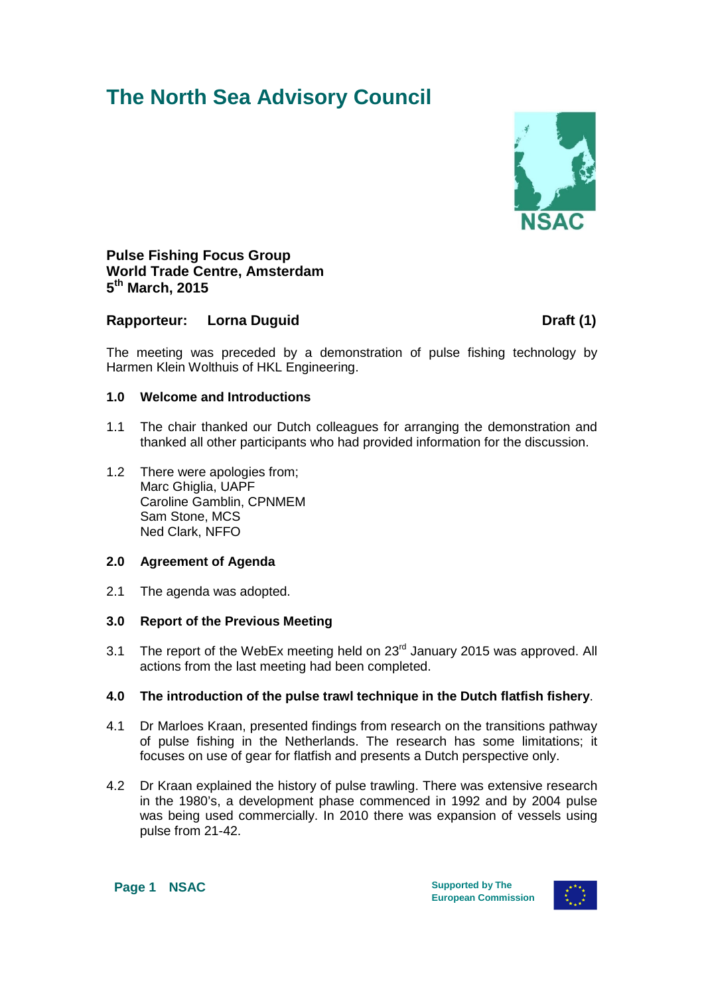# **The North Sea Advisory Council**



**Pulse Fishing Focus Group World Trade Centre, Amsterdam 5th March, 2015**

### **Rapporteur:** Lorna Duquid **Draft (1)** Draft (1)

The meeting was preceded by a demonstration of pulse fishing technology by Harmen Klein Wolthuis of HKL Engineering.

#### **1.0 Welcome and Introductions**

- 1.1 The chair thanked our Dutch colleagues for arranging the demonstration and thanked all other participants who had provided information for the discussion.
- 1.2 There were apologies from; Marc Ghiglia, UAPF Caroline Gamblin, CPNMEM Sam Stone, MCS Ned Clark, NFFO

#### **2.0 Agreement of Agenda**

2.1 The agenda was adopted.

#### **3.0 Report of the Previous Meeting**

3.1 The report of the WebEx meeting held on 23<sup>rd</sup> January 2015 was approved. All actions from the last meeting had been completed.

#### **4.0 The introduction of the pulse trawl technique in the Dutch flatfish fishery**.

- 4.1 Dr Marloes Kraan, presented findings from research on the transitions pathway of pulse fishing in the Netherlands. The research has some limitations; it focuses on use of gear for flatfish and presents a Dutch perspective only.
- 4.2 Dr Kraan explained the history of pulse trawling. There was extensive research in the 1980's, a development phase commenced in 1992 and by 2004 pulse was being used commercially. In 2010 there was expansion of vessels using pulse from 21-42.

**Page 1 NSAC** Supported by The

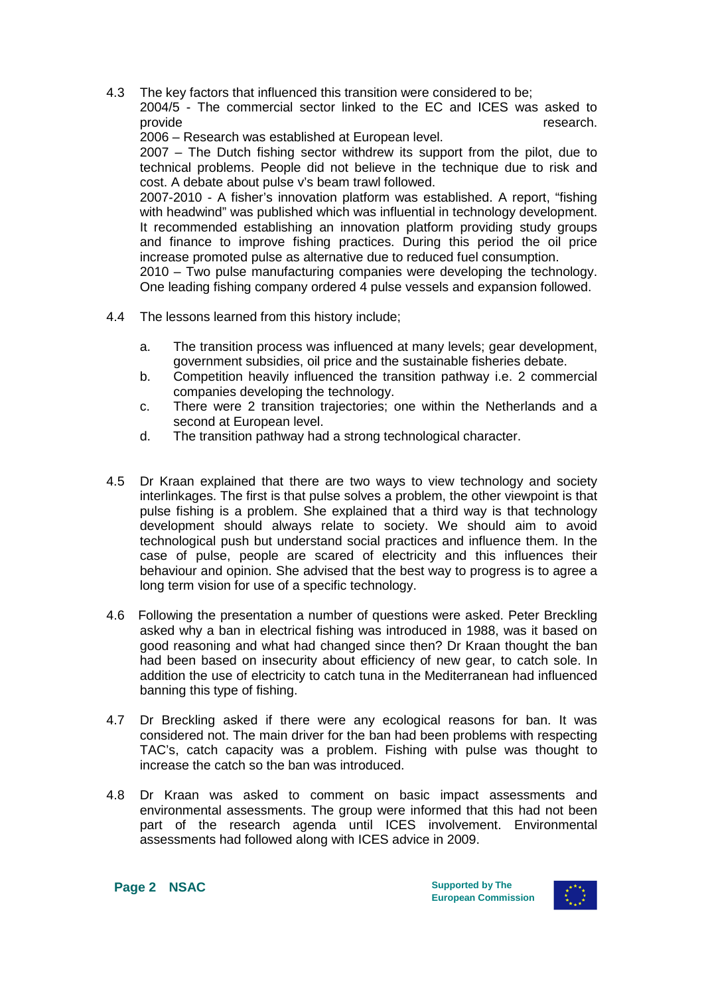4.3 The key factors that influenced this transition were considered to be; 2004/5 - The commercial sector linked to the EC and ICES was asked to provide provide **research**.

2006 – Research was established at European level.

2007 – The Dutch fishing sector withdrew its support from the pilot, due to technical problems. People did not believe in the technique due to risk and cost. A debate about pulse v's beam trawl followed.

2007-2010 - A fisher's innovation platform was established. A report, "fishing with headwind" was published which was influential in technology development. It recommended establishing an innovation platform providing study groups and finance to improve fishing practices. During this period the oil price increase promoted pulse as alternative due to reduced fuel consumption.

2010 – Two pulse manufacturing companies were developing the technology. One leading fishing company ordered 4 pulse vessels and expansion followed.

- 4.4 The lessons learned from this history include;
	- a. The transition process was influenced at many levels; gear development, government subsidies, oil price and the sustainable fisheries debate.
	- b. Competition heavily influenced the transition pathway i.e. 2 commercial companies developing the technology.
	- c. There were 2 transition trajectories; one within the Netherlands and a second at European level.
	- d. The transition pathway had a strong technological character.
- 4.5 Dr Kraan explained that there are two ways to view technology and society interlinkages. The first is that pulse solves a problem, the other viewpoint is that pulse fishing is a problem. She explained that a third way is that technology development should always relate to society. We should aim to avoid technological push but understand social practices and influence them. In the case of pulse, people are scared of electricity and this influences their behaviour and opinion. She advised that the best way to progress is to agree a long term vision for use of a specific technology.
- 4.6 Following the presentation a number of questions were asked. Peter Breckling asked why a ban in electrical fishing was introduced in 1988, was it based on good reasoning and what had changed since then? Dr Kraan thought the ban had been based on insecurity about efficiency of new gear, to catch sole. In addition the use of electricity to catch tuna in the Mediterranean had influenced banning this type of fishing.
- 4.7 Dr Breckling asked if there were any ecological reasons for ban. It was considered not. The main driver for the ban had been problems with respecting TAC's, catch capacity was a problem. Fishing with pulse was thought to increase the catch so the ban was introduced.
- 4.8 Dr Kraan was asked to comment on basic impact assessments and environmental assessments. The group were informed that this had not been part of the research agenda until ICES involvement. Environmental assessments had followed along with ICES advice in 2009.

**Page 2 NSAC** Supported by The

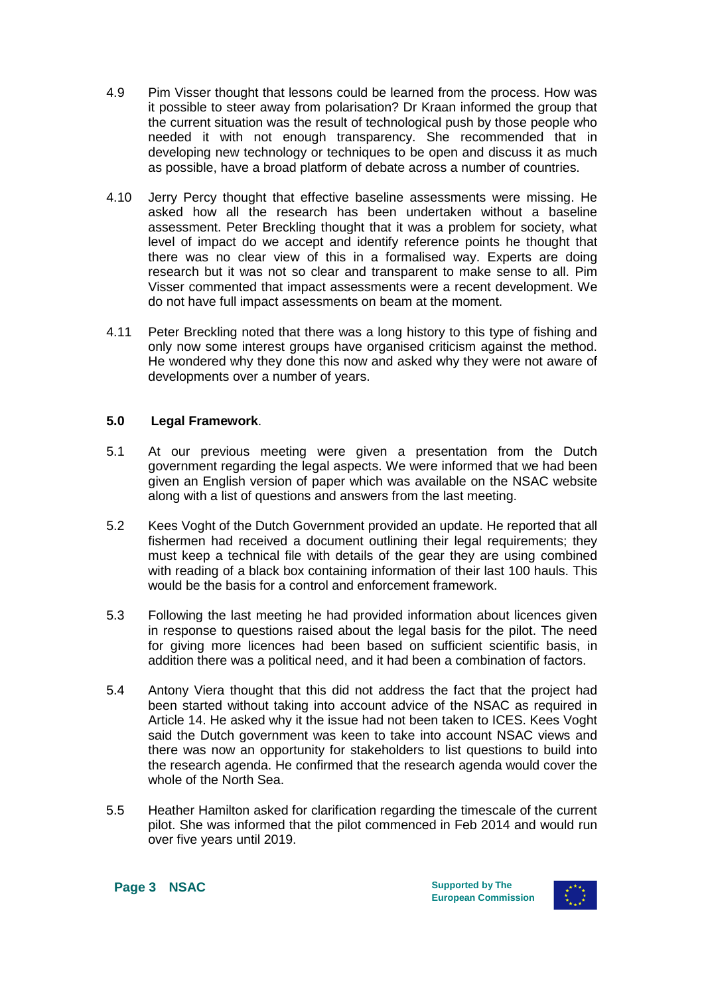- 4.9 Pim Visser thought that lessons could be learned from the process. How was it possible to steer away from polarisation? Dr Kraan informed the group that the current situation was the result of technological push by those people who needed it with not enough transparency. She recommended that in developing new technology or techniques to be open and discuss it as much as possible, have a broad platform of debate across a number of countries.
- 4.10 Jerry Percy thought that effective baseline assessments were missing. He asked how all the research has been undertaken without a baseline assessment. Peter Breckling thought that it was a problem for society, what level of impact do we accept and identify reference points he thought that there was no clear view of this in a formalised way. Experts are doing research but it was not so clear and transparent to make sense to all. Pim Visser commented that impact assessments were a recent development. We do not have full impact assessments on beam at the moment.
- 4.11 Peter Breckling noted that there was a long history to this type of fishing and only now some interest groups have organised criticism against the method. He wondered why they done this now and asked why they were not aware of developments over a number of years.

#### **5.0 Legal Framework**.

- 5.1 At our previous meeting were given a presentation from the Dutch government regarding the legal aspects. We were informed that we had been given an English version of paper which was available on the NSAC website along with a list of questions and answers from the last meeting.
- 5.2 Kees Voght of the Dutch Government provided an update. He reported that all fishermen had received a document outlining their legal requirements; they must keep a technical file with details of the gear they are using combined with reading of a black box containing information of their last 100 hauls. This would be the basis for a control and enforcement framework.
- 5.3 Following the last meeting he had provided information about licences given in response to questions raised about the legal basis for the pilot. The need for giving more licences had been based on sufficient scientific basis, in addition there was a political need, and it had been a combination of factors.
- 5.4 Antony Viera thought that this did not address the fact that the project had been started without taking into account advice of the NSAC as required in Article 14. He asked why it the issue had not been taken to ICES. Kees Voght said the Dutch government was keen to take into account NSAC views and there was now an opportunity for stakeholders to list questions to build into the research agenda. He confirmed that the research agenda would cover the whole of the North Sea.
- 5.5 Heather Hamilton asked for clarification regarding the timescale of the current pilot. She was informed that the pilot commenced in Feb 2014 and would run over five years until 2019.

**Page 3 NSAC** Supported by The

**European Commission**

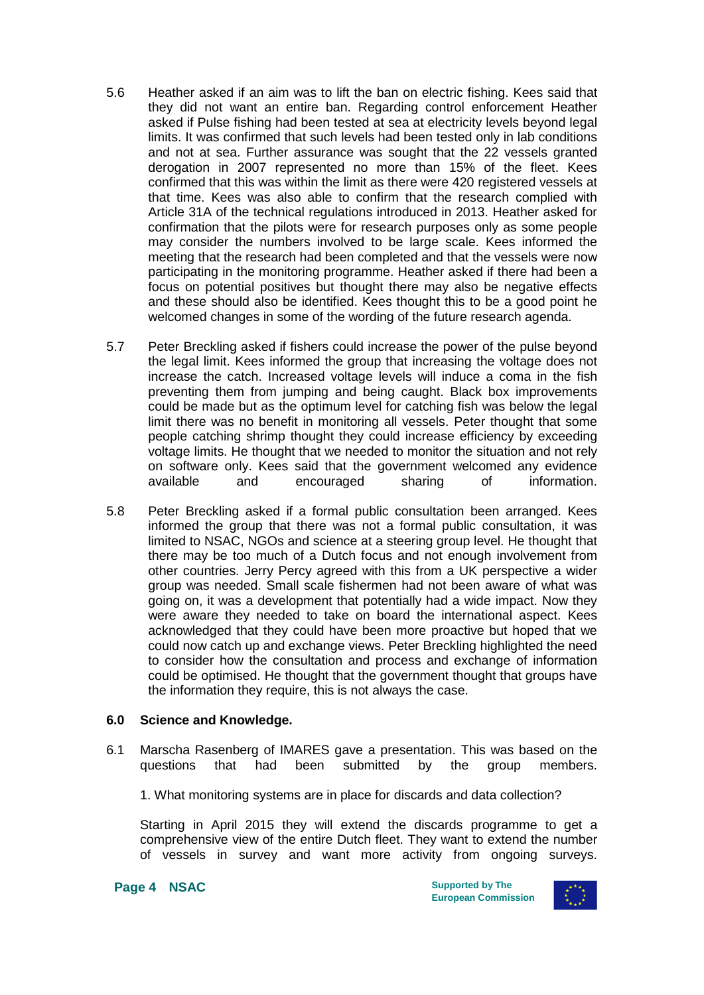- 5.6 Heather asked if an aim was to lift the ban on electric fishing. Kees said that they did not want an entire ban. Regarding control enforcement Heather asked if Pulse fishing had been tested at sea at electricity levels beyond legal limits. It was confirmed that such levels had been tested only in lab conditions and not at sea. Further assurance was sought that the 22 vessels granted derogation in 2007 represented no more than 15% of the fleet. Kees confirmed that this was within the limit as there were 420 registered vessels at that time. Kees was also able to confirm that the research complied with Article 31A of the technical regulations introduced in 2013. Heather asked for confirmation that the pilots were for research purposes only as some people may consider the numbers involved to be large scale. Kees informed the meeting that the research had been completed and that the vessels were now participating in the monitoring programme. Heather asked if there had been a focus on potential positives but thought there may also be negative effects and these should also be identified. Kees thought this to be a good point he welcomed changes in some of the wording of the future research agenda.
- 5.7 Peter Breckling asked if fishers could increase the power of the pulse beyond the legal limit. Kees informed the group that increasing the voltage does not increase the catch. Increased voltage levels will induce a coma in the fish preventing them from jumping and being caught. Black box improvements could be made but as the optimum level for catching fish was below the legal limit there was no benefit in monitoring all vessels. Peter thought that some people catching shrimp thought they could increase efficiency by exceeding voltage limits. He thought that we needed to monitor the situation and not rely on software only. Kees said that the government welcomed any evidence available and encouraged sharing of information.
- 5.8 Peter Breckling asked if a formal public consultation been arranged. Kees informed the group that there was not a formal public consultation, it was limited to NSAC, NGOs and science at a steering group level. He thought that there may be too much of a Dutch focus and not enough involvement from other countries. Jerry Percy agreed with this from a UK perspective a wider group was needed. Small scale fishermen had not been aware of what was going on, it was a development that potentially had a wide impact. Now they were aware they needed to take on board the international aspect. Kees acknowledged that they could have been more proactive but hoped that we could now catch up and exchange views. Peter Breckling highlighted the need to consider how the consultation and process and exchange of information could be optimised. He thought that the government thought that groups have the information they require, this is not always the case.

#### **6.0 Science and Knowledge.**

- 6.1 Marscha Rasenberg of IMARES gave a presentation. This was based on the questions that had been submitted by the group members.
	- 1. What monitoring systems are in place for discards and data collection?

Starting in April 2015 they will extend the discards programme to get a comprehensive view of the entire Dutch fleet. They want to extend the number of vessels in survey and want more activity from ongoing surveys.

**Page 4 • NSAC** Supported by The

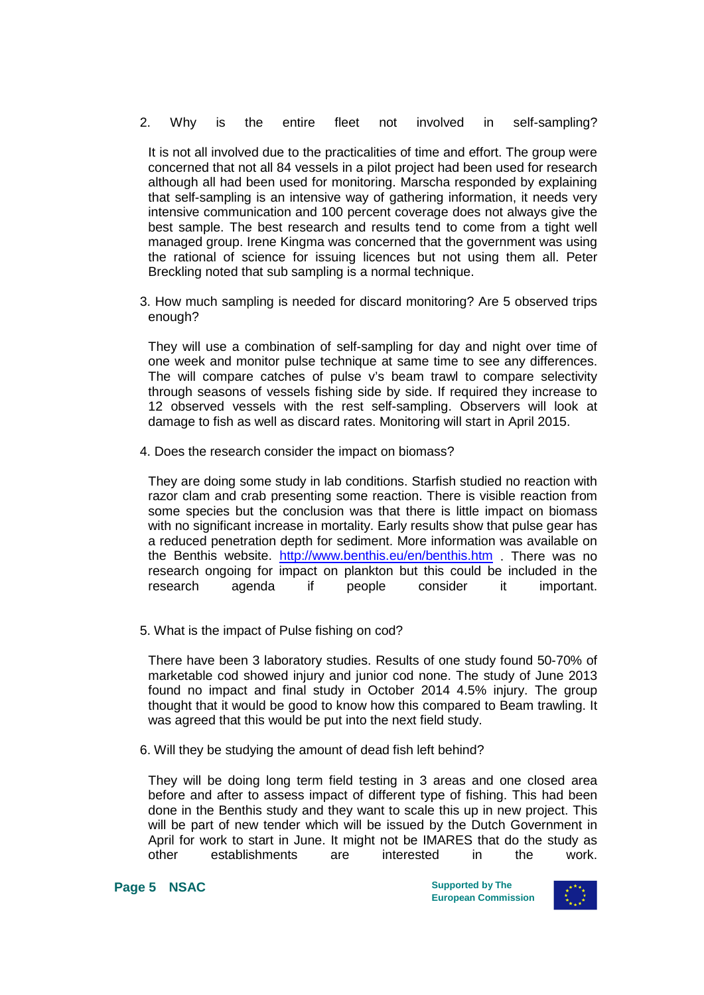2. Why is the entire fleet not involved in self-sampling?

It is not all involved due to the practicalities of time and effort. The group were concerned that not all 84 vessels in a pilot project had been used for research although all had been used for monitoring. Marscha responded by explaining that self-sampling is an intensive way of gathering information, it needs very intensive communication and 100 percent coverage does not always give the best sample. The best research and results tend to come from a tight well managed group. Irene Kingma was concerned that the government was using the rational of science for issuing licences but not using them all. Peter Breckling noted that sub sampling is a normal technique.

3. How much sampling is needed for discard monitoring? Are 5 observed trips enough?

They will use a combination of self-sampling for day and night over time of one week and monitor pulse technique at same time to see any differences. The will compare catches of pulse v's beam trawl to compare selectivity through seasons of vessels fishing side by side. If required they increase to 12 observed vessels with the rest self-sampling. Observers will look at damage to fish as well as discard rates. Monitoring will start in April 2015.

4. Does the research consider the impact on biomass?

They are doing some study in lab conditions. Starfish studied no reaction with razor clam and crab presenting some reaction. There is visible reaction from some species but the conclusion was that there is little impact on biomass with no significant increase in mortality. Early results show that pulse gear has a reduced penetration depth for sediment. More information was available on the Benthis website. <http://www.benthis.eu/en/benthis.htm> . There was no research ongoing for impact on plankton but this could be included in the research agenda if people consider it important.

5. What is the impact of Pulse fishing on cod?

There have been 3 laboratory studies. Results of one study found 50-70% of marketable cod showed injury and junior cod none. The study of June 2013 found no impact and final study in October 2014 4.5% injury. The group thought that it would be good to know how this compared to Beam trawling. It was agreed that this would be put into the next field study.

6. Will they be studying the amount of dead fish left behind?

They will be doing long term field testing in 3 areas and one closed area before and after to assess impact of different type of fishing. This had been done in the Benthis study and they want to scale this up in new project. This will be part of new tender which will be issued by the Dutch Government in April for work to start in June. It might not be IMARES that do the study as other establishments are interested in the work.

**Page 5 NSAC** Supported by The

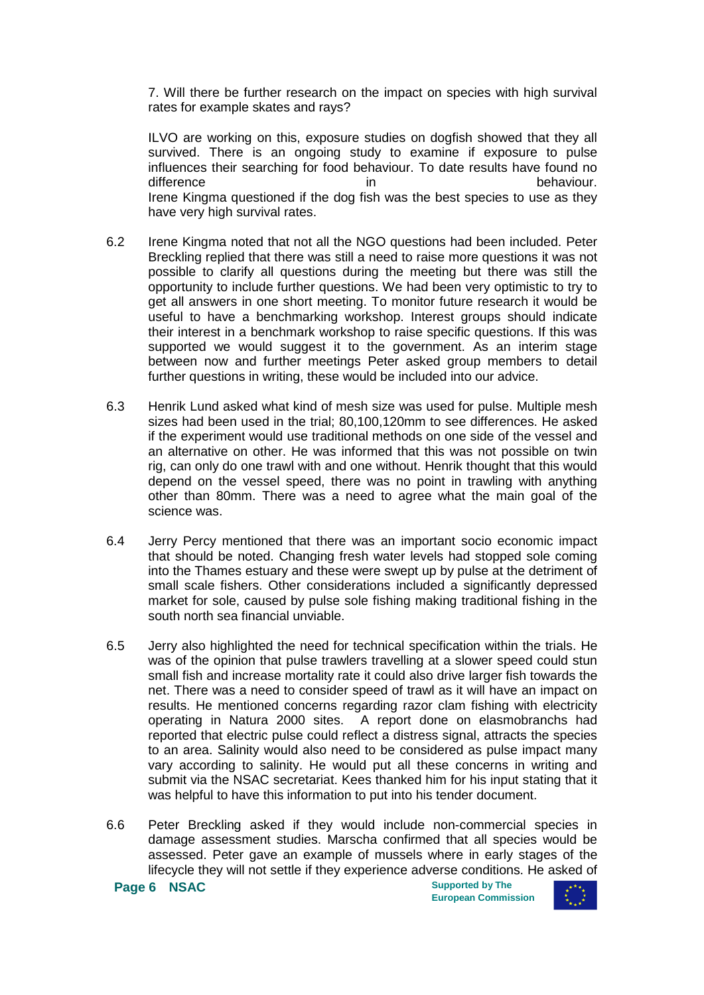7. Will there be further research on the impact on species with high survival rates for example skates and rays?

ILVO are working on this, exposure studies on dogfish showed that they all survived. There is an ongoing study to examine if exposure to pulse influences their searching for food behaviour. To date results have found no difference in in behaviour. Irene Kingma questioned if the dog fish was the best species to use as they have very high survival rates.

- 6.2 Irene Kingma noted that not all the NGO questions had been included. Peter Breckling replied that there was still a need to raise more questions it was not possible to clarify all questions during the meeting but there was still the opportunity to include further questions. We had been very optimistic to try to get all answers in one short meeting. To monitor future research it would be useful to have a benchmarking workshop. Interest groups should indicate their interest in a benchmark workshop to raise specific questions. If this was supported we would suggest it to the government. As an interim stage between now and further meetings Peter asked group members to detail further questions in writing, these would be included into our advice.
- 6.3 Henrik Lund asked what kind of mesh size was used for pulse. Multiple mesh sizes had been used in the trial; 80,100,120mm to see differences. He asked if the experiment would use traditional methods on one side of the vessel and an alternative on other. He was informed that this was not possible on twin rig, can only do one trawl with and one without. Henrik thought that this would depend on the vessel speed, there was no point in trawling with anything other than 80mm. There was a need to agree what the main goal of the science was.
- 6.4 Jerry Percy mentioned that there was an important socio economic impact that should be noted. Changing fresh water levels had stopped sole coming into the Thames estuary and these were swept up by pulse at the detriment of small scale fishers. Other considerations included a significantly depressed market for sole, caused by pulse sole fishing making traditional fishing in the south north sea financial unviable.
- 6.5 Jerry also highlighted the need for technical specification within the trials. He was of the opinion that pulse trawlers travelling at a slower speed could stun small fish and increase mortality rate it could also drive larger fish towards the net. There was a need to consider speed of trawl as it will have an impact on results. He mentioned concerns regarding razor clam fishing with electricity operating in Natura 2000 sites. A report done on elasmobranchs had reported that electric pulse could reflect a distress signal, attracts the species to an area. Salinity would also need to be considered as pulse impact many vary according to salinity. He would put all these concerns in writing and submit via the NSAC secretariat. Kees thanked him for his input stating that it was helpful to have this information to put into his tender document.
- 6.6 Peter Breckling asked if they would include non-commercial species in damage assessment studies. Marscha confirmed that all species would be assessed. Peter gave an example of mussels where in early stages of the lifecycle they will not settle if they experience adverse conditions. He asked of

**Page 6 NSAC Supported by The** 

**European Commission**

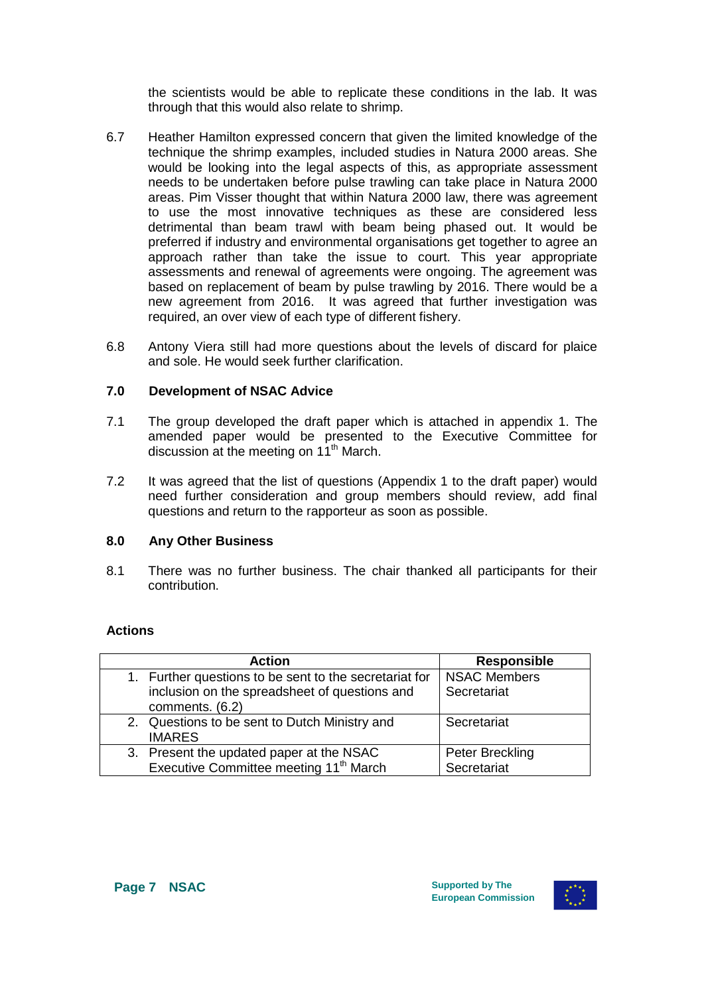the scientists would be able to replicate these conditions in the lab. It was through that this would also relate to shrimp.

- 6.7 Heather Hamilton expressed concern that given the limited knowledge of the technique the shrimp examples, included studies in Natura 2000 areas. She would be looking into the legal aspects of this, as appropriate assessment needs to be undertaken before pulse trawling can take place in Natura 2000 areas. Pim Visser thought that within Natura 2000 law, there was agreement to use the most innovative techniques as these are considered less detrimental than beam trawl with beam being phased out. It would be preferred if industry and environmental organisations get together to agree an approach rather than take the issue to court. This year appropriate assessments and renewal of agreements were ongoing. The agreement was based on replacement of beam by pulse trawling by 2016. There would be a new agreement from 2016. It was agreed that further investigation was required, an over view of each type of different fishery.
- 6.8 Antony Viera still had more questions about the levels of discard for plaice and sole. He would seek further clarification.

### **7.0 Development of NSAC Advice**

- 7.1 The group developed the draft paper which is attached in appendix 1. The amended paper would be presented to the Executive Committee for discussion at the meeting on 11<sup>th</sup> March.
- 7.2 It was agreed that the list of questions (Appendix 1 to the draft paper) would need further consideration and group members should review, add final questions and return to the rapporteur as soon as possible.

#### **8.0 Any Other Business**

8.1 There was no further business. The chair thanked all participants for their contribution.

#### **Actions**

| <b>Action</b>                                          | <b>Responsible</b>  |
|--------------------------------------------------------|---------------------|
| 1. Further questions to be sent to the secretariat for | <b>NSAC Members</b> |
| inclusion on the spreadsheet of questions and          | Secretariat         |
| comments. (6.2)                                        |                     |
| 2. Questions to be sent to Dutch Ministry and          | Secretariat         |
| <b>IMARES</b>                                          |                     |
| 3. Present the updated paper at the NSAC               | Peter Breckling     |
| Executive Committee meeting 11 <sup>th</sup> March     | Secretariat         |